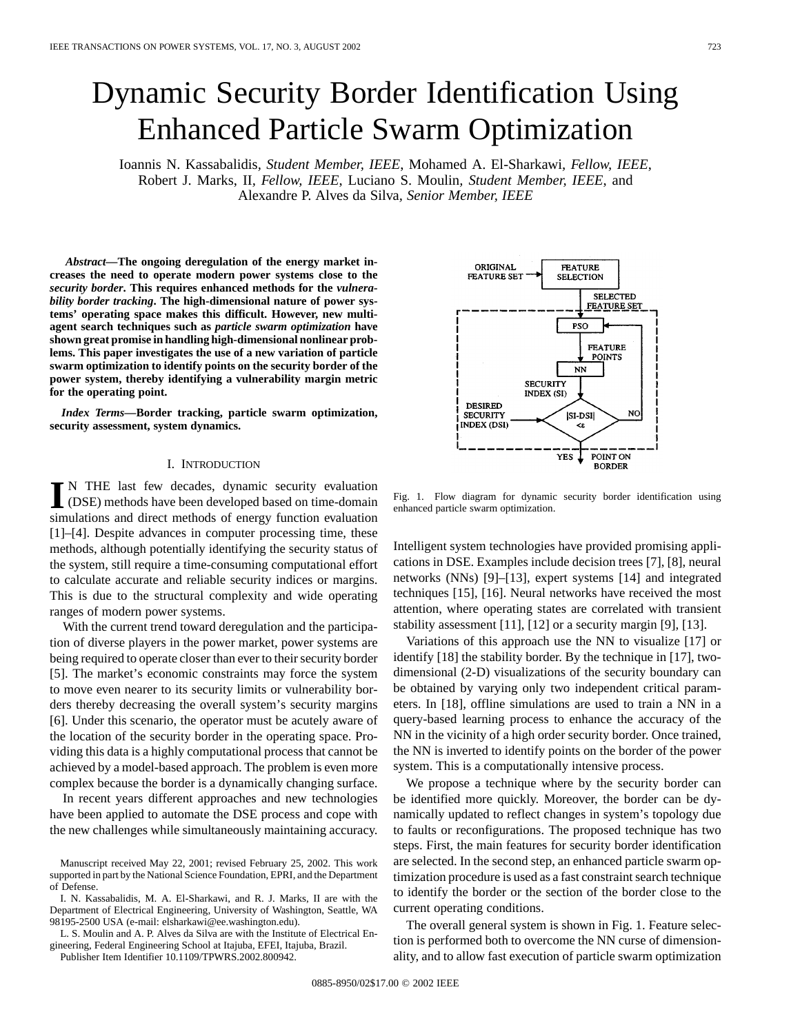# Dynamic Security Border Identification Using Enhanced Particle Swarm Optimization

Ioannis N. Kassabalidis*, Student Member, IEEE*, Mohamed A. El-Sharkawi*, Fellow, IEEE*, Robert J. Marks, II*, Fellow, IEEE*, Luciano S. Moulin*, Student Member, IEEE*, and Alexandre P. Alves da Silva*, Senior Member, IEEE*

*Abstract—***The ongoing deregulation of the energy market increases the need to operate modern power systems close to the** *security border***. This requires enhanced methods for the** *vulnerability border tracking***. The high-dimensional nature of power systems' operating space makes this difficult. However, new multiagent search techniques such as** *particle swarm optimization* **have shown great promise in handling high-dimensional nonlinear problems. This paper investigates the use of a new variation of particle swarm optimization to identify points on the security border of the power system, thereby identifying a vulnerability margin metric for the operating point.**

*Index Terms—***Border tracking, particle swarm optimization, security assessment, system dynamics.**

# I. INTRODUCTION

**I** N THE last few decades, dynamic security evaluation (DSE) methods have been developed based on time-domain simulations and direct methods of energy function evaluation [1]–[4]. Despite advances in computer processing time, these methods, although potentially identifying the security status of the system, still require a time-consuming computational effort to calculate accurate and reliable security indices or margins. This is due to the structural complexity and wide operating ranges of modern power systems.

With the current trend toward deregulation and the participation of diverse players in the power market, power systems are being required to operate closer than ever to their security border [5]. The market's economic constraints may force the system to move even nearer to its security limits or vulnerability borders thereby decreasing the overall system's security margins [6]. Under this scenario, the operator must be acutely aware of the location of the security border in the operating space. Providing this data is a highly computational process that cannot be achieved by a model-based approach. The problem is even more complex because the border is a dynamically changing surface.

In recent years different approaches and new technologies have been applied to automate the DSE process and cope with the new challenges while simultaneously maintaining accuracy.

I. N. Kassabalidis, M. A. El-Sharkawi, and R. J. Marks, II are with the Department of Electrical Engineering, University of Washington, Seattle, WA 98195-2500 USA (e-mail: elsharkawi@ee.washington.edu).

L. S. Moulin and A. P. Alves da Silva are with the Institute of Electrical Engineering, Federal Engineering School at Itajuba, EFEI, Itajuba, Brazil.

Publisher Item Identifier 10.1109/TPWRS.2002.800942.

**FEATURE SET SELECTION SELECTED FEATURE SET PSO FEATURE POINTS** NN **SECURITY** INDEX (SI) **DESIRED** NC **SECURITY**  $|SI-DSI|$ **INDEX (DSI)** <ε **YES** POINT ON **BORDER** 

**FEATURE** 

ORIGINAL

Fig. 1. Flow diagram for dynamic security border identification using enhanced particle swarm optimization.

Intelligent system technologies have provided promising applications in DSE. Examples include decision trees [7], [8], neural networks (NNs) [9]–[13], expert systems [14] and integrated techniques [15], [16]. Neural networks have received the most attention, where operating states are correlated with transient stability assessment [11], [12] or a security margin [9], [13].

Variations of this approach use the NN to visualize [17] or identify [18] the stability border. By the technique in [17], twodimensional (2-D) visualizations of the security boundary can be obtained by varying only two independent critical parameters. In [18], offline simulations are used to train a NN in a query-based learning process to enhance the accuracy of the NN in the vicinity of a high order security border. Once trained, the NN is inverted to identify points on the border of the power system. This is a computationally intensive process.

We propose a technique where by the security border can be identified more quickly. Moreover, the border can be dynamically updated to reflect changes in system's topology due to faults or reconfigurations. The proposed technique has two steps. First, the main features for security border identification are selected. In the second step, an enhanced particle swarm optimization procedure is used as a fast constraint search technique to identify the border or the section of the border close to the current operating conditions.

The overall general system is shown in Fig. 1. Feature selection is performed both to overcome the NN curse of dimensionality, and to allow fast execution of particle swarm optimization



Manuscript received May 22, 2001; revised February 25, 2002. This work supported in part by the National Science Foundation, EPRI, and the Department of Defense.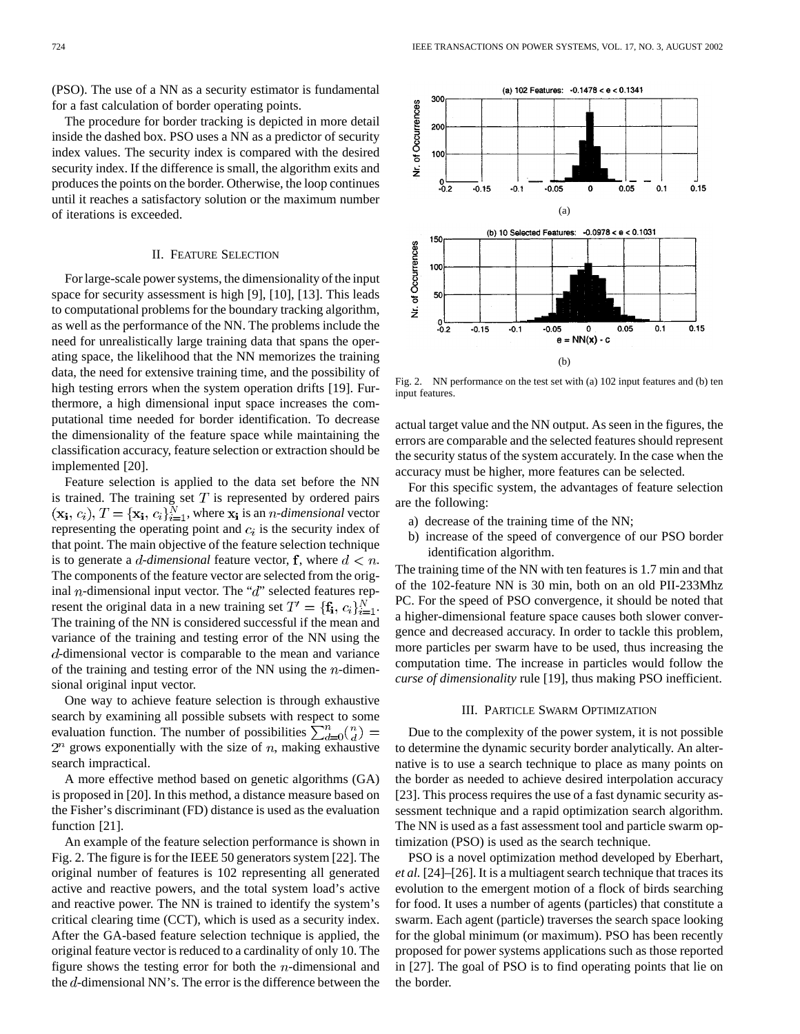(PSO). The use of a NN as a security estimator is fundamental for a fast calculation of border operating points.

The procedure for border tracking is depicted in more detail inside the dashed box. PSO uses a NN as a predictor of security index values. The security index is compared with the desired security index. If the difference is small, the algorithm exits and produces the points on the border. Otherwise, the loop continues until it reaches a satisfactory solution or the maximum number of iterations is exceeded.

## II. FEATURE SELECTION

For large-scale power systems, the dimensionality of the input space for security assessment is high [9], [10], [13]. This leads to computational problems for the boundary tracking algorithm, as well as the performance of the NN. The problems include the need for unrealistically large training data that spans the operating space, the likelihood that the NN memorizes the training data, the need for extensive training time, and the possibility of high testing errors when the system operation drifts [19]. Furthermore, a high dimensional input space increases the computational time needed for border identification. To decrease the dimensionality of the feature space while maintaining the classification accuracy, feature selection or extraction should be implemented [20].

Feature selection is applied to the data set before the NN is trained. The training set  $T$  is represented by ordered pairs  $(\mathbf{x_i}, c_i)$ ,  $T = {\mathbf{x_i}, c_i}_{i=1}^N$ , where  $\mathbf{x_i}$  is an *n*-dimensional vector representing the operating point and  $c_i$  is the security index of that point. The main objective of the feature selection technique is to generate a  $d$ -dimensional feature vector, f, where  $d < n$ . The components of the feature vector are selected from the original *n*-dimensional input vector. The " $d$ " selected features represent the original data in a new training set  $T' = \{\mathbf{f_i}, c_i\}_{i=1}^N$ . The training of the NN is considered successful if the mean and variance of the training and testing error of the NN using the -dimensional vector is comparable to the mean and variance of the training and testing error of the NN using the  $n$ -dimensional original input vector.

One way to achieve feature selection is through exhaustive search by examining all possible subsets with respect to some evaluation function. The number of possibilities  $\sum_{d=0}^{n} {n \choose d}$  $2^n$  grows exponentially with the size of n, making exhaustive search impractical.

A more effective method based on genetic algorithms (GA) is proposed in [20]. In this method, a distance measure based on the Fisher's discriminant (FD) distance is used as the evaluation function [21].

An example of the feature selection performance is shown in Fig. 2. The figure is for the IEEE 50 generators system [22]. The original number of features is 102 representing all generated active and reactive powers, and the total system load's active and reactive power. The NN is trained to identify the system's critical clearing time (CCT), which is used as a security index. After the GA-based feature selection technique is applied, the original feature vector is reduced to a cardinality of only 10. The figure shows the testing error for both the  $n$ -dimensional and the  $d$ -dimensional NN's. The error is the difference between the



Fig. 2. NN performance on the test set with (a) 102 input features and (b) ten input features.

actual target value and the NN output. As seen in the figures, the errors are comparable and the selected features should represent the security status of the system accurately. In the case when the accuracy must be higher, more features can be selected.

For this specific system, the advantages of feature selection are the following:

- a) decrease of the training time of the NN;
- b) increase of the speed of convergence of our PSO border identification algorithm.

The training time of the NN with ten features is 1.7 min and that of the 102-feature NN is 30 min, both on an old PII-233Mhz PC. For the speed of PSO convergence, it should be noted that a higher-dimensional feature space causes both slower convergence and decreased accuracy. In order to tackle this problem, more particles per swarm have to be used, thus increasing the computation time. The increase in particles would follow the *curse of dimensionality* rule [19], thus making PSO inefficient.

# III. PARTICLE SWARM OPTIMIZATION

Due to the complexity of the power system, it is not possible to determine the dynamic security border analytically. An alternative is to use a search technique to place as many points on the border as needed to achieve desired interpolation accuracy [23]. This process requires the use of a fast dynamic security assessment technique and a rapid optimization search algorithm. The NN is used as a fast assessment tool and particle swarm optimization (PSO) is used as the search technique.

PSO is a novel optimization method developed by Eberhart, *et al.* [24]–[26]. It is a multiagent search technique that traces its evolution to the emergent motion of a flock of birds searching for food. It uses a number of agents (particles) that constitute a swarm. Each agent (particle) traverses the search space looking for the global minimum (or maximum). PSO has been recently proposed for power systems applications such as those reported in [27]. The goal of PSO is to find operating points that lie on the border.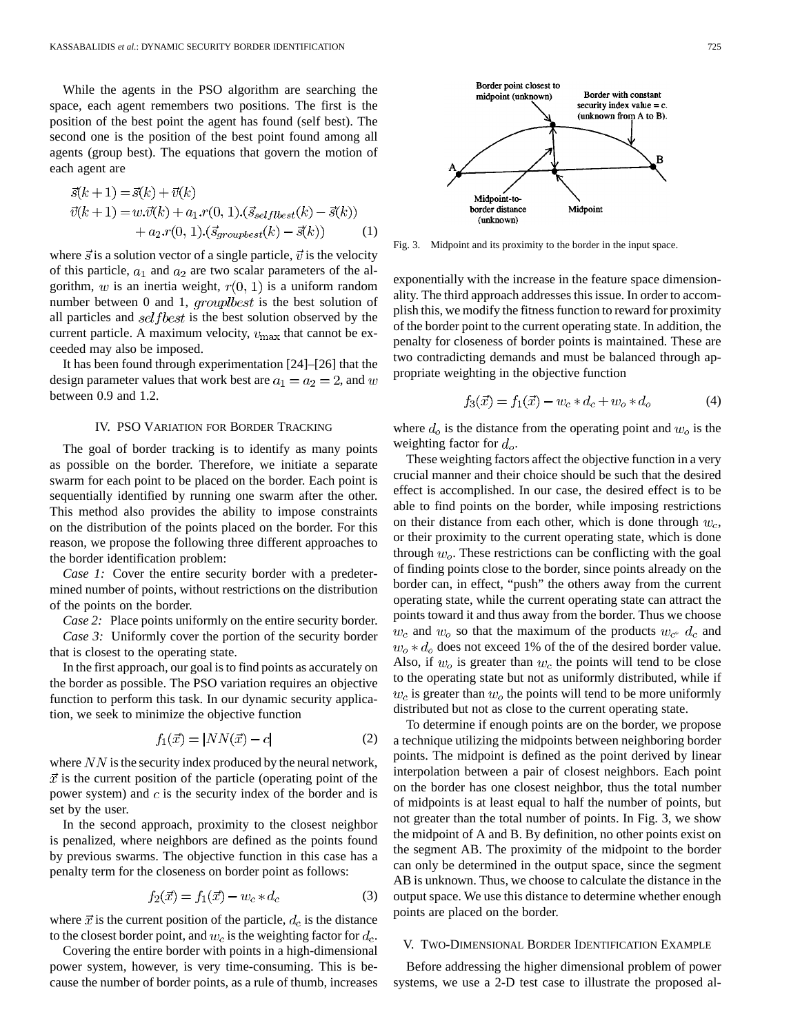While the agents in the PSO algorithm are searching the space, each agent remembers two positions. The first is the position of the best point the agent has found (self best). The second one is the position of the best point found among all agents (group best). The equations that govern the motion of each agent are

$$
\vec{s}(k+1) = \vec{s}(k) + \vec{v}(k) \n\vec{v}(k+1) = w.\vec{v}(k) + a_1.r(0, 1).(\vec{s}_{selflbest}(k) - \vec{s}(k)) \n+ a_2.r(0, 1).(\vec{s}_{groupbest}(k) - \vec{s}(k))
$$
\n(1)

where  $\vec{s}$  is a solution vector of a single particle,  $\vec{v}$  is the velocity of this particle,  $a_1$  and  $a_2$  are two scalar parameters of the algorithm, w is an inertia weight,  $r(0, 1)$  is a uniform random number between 0 and 1,  $groupbest$  is the best solution of all particles and  $selfbest$  is the best solution observed by the current particle. A maximum velocity,  $v_{\text{max}}$  that cannot be exceeded may also be imposed.

It has been found through experimentation [24]–[26] that the design parameter values that work best are  $a_1 = a_2 = 2$ , and w between 0.9 and 1.2.

## IV. PSO VARIATION FOR BORDER TRACKING

The goal of border tracking is to identify as many points as possible on the border. Therefore, we initiate a separate swarm for each point to be placed on the border. Each point is sequentially identified by running one swarm after the other. This method also provides the ability to impose constraints on the distribution of the points placed on the border. For this reason, we propose the following three different approaches to the border identification problem:

*Case 1:* Cover the entire security border with a predetermined number of points, without restrictions on the distribution of the points on the border.

*Case 2:* Place points uniformly on the entire security border. *Case 3:* Uniformly cover the portion of the security border

that is closest to the operating state. In the first approach, our goal is to find points as accurately on the border as possible. The PSO variation requires an objective function to perform this task. In our dynamic security application, we seek to minimize the objective function

$$
f_1(\vec{x}) = |NN(\vec{x}) - c| \tag{2}
$$

where  $NN$  is the security index produced by the neural network,  $\vec{x}$  is the current position of the particle (operating point of the power system) and  $c$  is the security index of the border and is set by the user.

In the second approach, proximity to the closest neighbor is penalized, where neighbors are defined as the points found by previous swarms. The objective function in this case has a penalty term for the closeness on border point as follows:

$$
f_2(\vec{x}) = f_1(\vec{x}) - w_c * d_c \tag{3}
$$

where  $\vec{x}$  is the current position of the particle,  $d_c$  is the distance to the closest border point, and  $w_c$  is the weighting factor for  $d_c$ .

Covering the entire border with points in a high-dimensional power system, however, is very time-consuming. This is because the number of border points, as a rule of thumb, increases



Fig. 3. Midpoint and its proximity to the border in the input space.

exponentially with the increase in the feature space dimensionality. The third approach addresses this issue. In order to accomplish this, we modify the fitness function to reward for proximity of the border point to the current operating state. In addition, the penalty for closeness of border points is maintained. These are two contradicting demands and must be balanced through appropriate weighting in the objective function

$$
f_3(\vec{x}) = f_1(\vec{x}) - w_c * d_c + w_o * d_o \tag{4}
$$

where  $d_o$  is the distance from the operating point and  $w_o$  is the weighting factor for  $d_o$ .

These weighting factors affect the objective function in a very crucial manner and their choice should be such that the desired effect is accomplished. In our case, the desired effect is to be able to find points on the border, while imposing restrictions on their distance from each other, which is done through  $w_c$ , or their proximity to the current operating state, which is done through  $w<sub>o</sub>$ . These restrictions can be conflicting with the goal of finding points close to the border, since points already on the border can, in effect, "push" the others away from the current operating state, while the current operating state can attract the points toward it and thus away from the border. Thus we choose  $w_c$  and  $w_o$  so that the maximum of the products  $w_{c^*}$  d<sub>c</sub> and  $w_0 * d_0$  does not exceed 1% of the of the desired border value. Also, if  $w<sub>o</sub>$  is greater than  $w<sub>c</sub>$  the points will tend to be close to the operating state but not as uniformly distributed, while if  $w_c$  is greater than  $w_o$  the points will tend to be more uniformly distributed but not as close to the current operating state.

To determine if enough points are on the border, we propose a technique utilizing the midpoints between neighboring border points. The midpoint is defined as the point derived by linear interpolation between a pair of closest neighbors. Each point on the border has one closest neighbor, thus the total number of midpoints is at least equal to half the number of points, but not greater than the total number of points. In Fig. 3, we show the midpoint of A and B. By definition, no other points exist on the segment AB. The proximity of the midpoint to the border can only be determined in the output space, since the segment AB is unknown. Thus, we choose to calculate the distance in the output space. We use this distance to determine whether enough points are placed on the border.

## V. TWO-DIMENSIONAL BORDER IDENTIFICATION EXAMPLE

Before addressing the higher dimensional problem of power systems, we use a 2-D test case to illustrate the proposed al-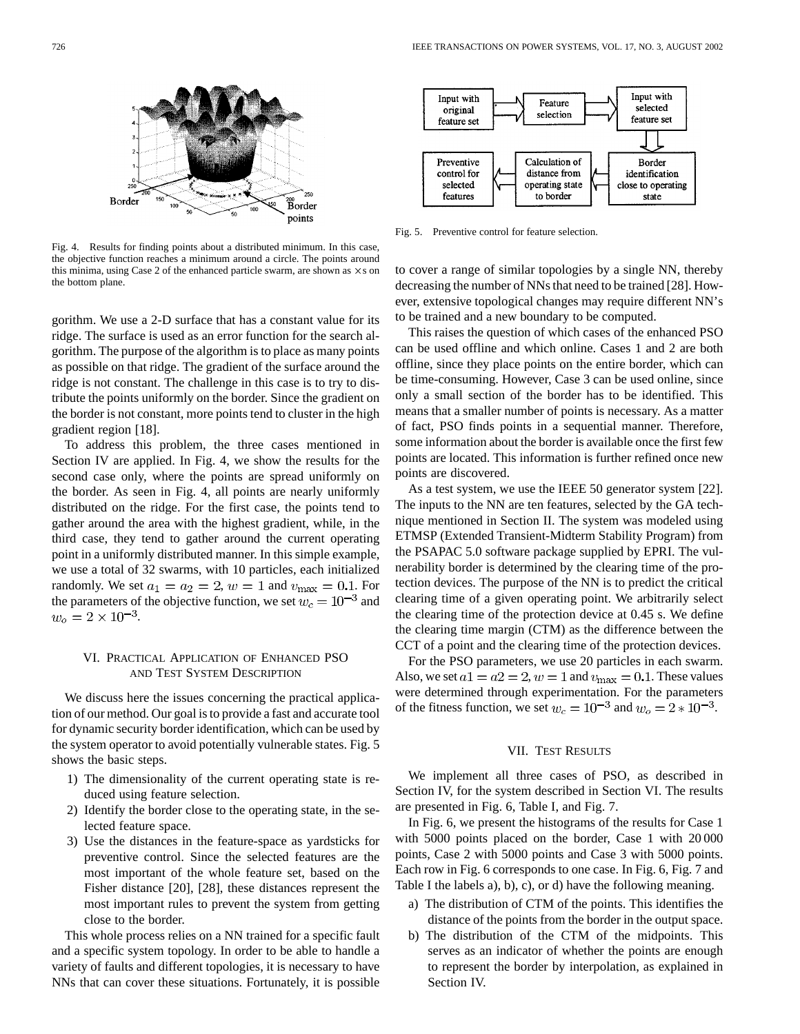

Fig. 4. Results for finding points about a distributed minimum. In this case, the objective function reaches a minimum around a circle. The points around this minima, using Case 2 of the enhanced particle swarm, are shown as  $\times$  s on the bottom plane.

gorithm. We use a 2-D surface that has a constant value for its ridge. The surface is used as an error function for the search algorithm. The purpose of the algorithm is to place as many points as possible on that ridge. The gradient of the surface around the ridge is not constant. The challenge in this case is to try to distribute the points uniformly on the border. Since the gradient on the border is not constant, more points tend to cluster in the high gradient region [18].

To address this problem, the three cases mentioned in Section IV are applied. In Fig. 4, we show the results for the second case only, where the points are spread uniformly on the border. As seen in Fig. 4, all points are nearly uniformly distributed on the ridge. For the first case, the points tend to gather around the area with the highest gradient, while, in the third case, they tend to gather around the current operating point in a uniformly distributed manner. In this simple example, we use a total of 32 swarms, with 10 particles, each initialized randomly. We set  $a_1 = a_2 = 2$ ,  $w = 1$  and  $v_{\text{max}} = 0.1$ . For the parameters of the objective function, we set  $w_c = 10^{-3}$  and  $w_o = 2 \times 10^{-3}$ .

# VI. PRACTICAL APPLICATION OF ENHANCED PSO AND TEST SYSTEM DESCRIPTION

We discuss here the issues concerning the practical application of our method. Our goal is to provide a fast and accurate tool for dynamic security border identification, which can be used by the system operator to avoid potentially vulnerable states. Fig. 5 shows the basic steps.

- 1) The dimensionality of the current operating state is reduced using feature selection.
- 2) Identify the border close to the operating state, in the selected feature space.
- 3) Use the distances in the feature-space as yardsticks for preventive control. Since the selected features are the most important of the whole feature set, based on the Fisher distance [20], [28], these distances represent the most important rules to prevent the system from getting close to the border.

This whole process relies on a NN trained for a specific fault and a specific system topology. In order to be able to handle a variety of faults and different topologies, it is necessary to have NNs that can cover these situations. Fortunately, it is possible



Fig. 5. Preventive control for feature selection.

to cover a range of similar topologies by a single NN, thereby decreasing the number of NNs that need to be trained [28]. However, extensive topological changes may require different NN's to be trained and a new boundary to be computed.

This raises the question of which cases of the enhanced PSO can be used offline and which online. Cases 1 and 2 are both offline, since they place points on the entire border, which can be time-consuming. However, Case 3 can be used online, since only a small section of the border has to be identified. This means that a smaller number of points is necessary. As a matter of fact, PSO finds points in a sequential manner. Therefore, some information about the border is available once the first few points are located. This information is further refined once new points are discovered.

As a test system, we use the IEEE 50 generator system [22]. The inputs to the NN are ten features, selected by the GA technique mentioned in Section II. The system was modeled using ETMSP (Extended Transient-Midterm Stability Program) from the PSAPAC 5.0 software package supplied by EPRI. The vulnerability border is determined by the clearing time of the protection devices. The purpose of the NN is to predict the critical clearing time of a given operating point. We arbitrarily select the clearing time of the protection device at 0.45 s. We define the clearing time margin (CTM) as the difference between the CCT of a point and the clearing time of the protection devices.

For the PSO parameters, we use 20 particles in each swarm. Also, we set  $a1 = a2 = 2$ ,  $w = 1$  and  $v_{\text{max}} = 0.1$ . These values were determined through experimentation. For the parameters of the fitness function, we set  $w_c = 10^{-3}$  and  $w_o = 2 \times 10^{-3}$ .

## VII. TEST RESULTS

We implement all three cases of PSO, as described in Section IV, for the system described in Section VI. The results are presented in Fig. 6, Table I, and Fig. 7.

In Fig. 6, we present the histograms of the results for Case 1 with 5000 points placed on the border, Case 1 with 20 000 points, Case 2 with 5000 points and Case 3 with 5000 points. Each row in Fig. 6 corresponds to one case. In Fig. 6, Fig. 7 and Table I the labels a), b), c), or d) have the following meaning.

- a) The distribution of CTM of the points. This identifies the distance of the points from the border in the output space.
- b) The distribution of the CTM of the midpoints. This serves as an indicator of whether the points are enough to represent the border by interpolation, as explained in Section IV.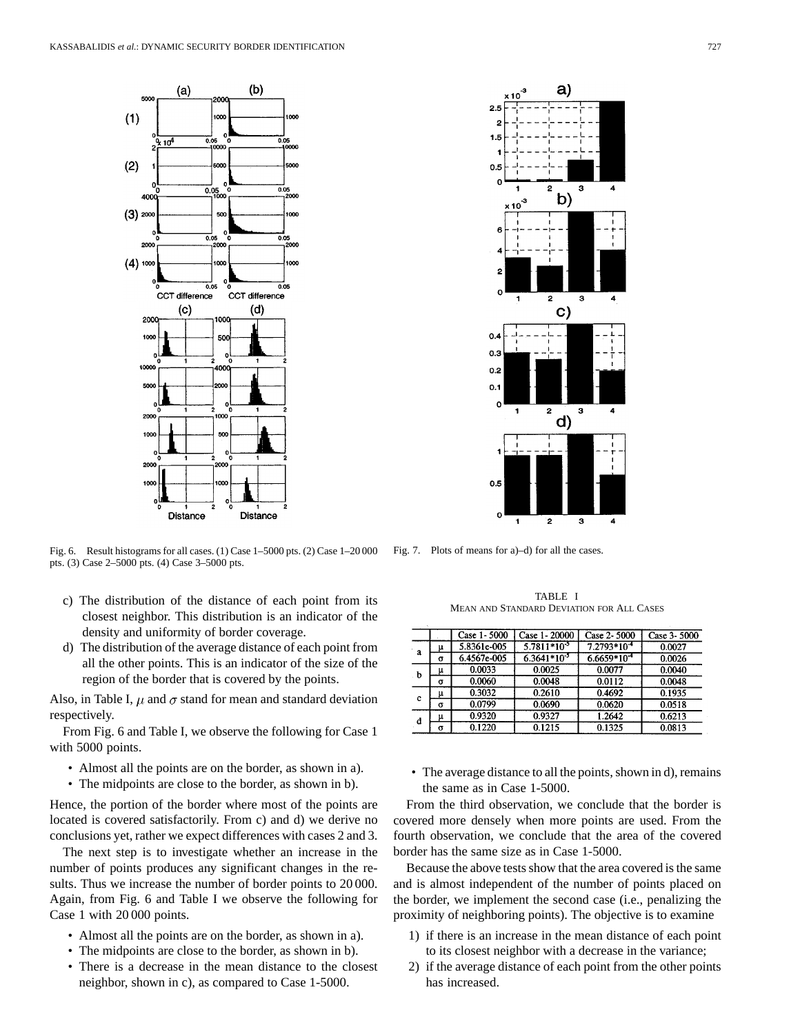

Fig. 6. Result histograms for all cases. (1) Case 1–5000 pts. (2) Case 1–20 000 pts. (3) Case 2–5000 pts. (4) Case 3–5000 pts.

- c) The distribution of the distance of each point from its closest neighbor. This distribution is an indicator of the density and uniformity of border coverage.
- d) The distribution of the average distance of each point from all the other points. This is an indicator of the size of the region of the border that is covered by the points.

Also, in Table I,  $\mu$  and  $\sigma$  stand for mean and standard deviation respectively.

From Fig. 6 and Table I, we observe the following for Case 1 with 5000 points.

- Almost all the points are on the border, as shown in a).
- The midpoints are close to the border, as shown in b).

Hence, the portion of the border where most of the points are located is covered satisfactorily. From c) and d) we derive no conclusions yet, rather we expect differences with cases 2 and 3.

The next step is to investigate whether an increase in the number of points produces any significant changes in the results. Thus we increase the number of border points to 20 000. Again, from Fig. 6 and Table I we observe the following for Case 1 with 20 000 points.

- Almost all the points are on the border, as shown in a).
- The midpoints are close to the border, as shown in b).
- There is a decrease in the mean distance to the closest neighbor, shown in c), as compared to Case 1-5000.



Fig. 7. Plots of means for a)–d) for all the cases.

TABLE I MEAN AND STANDARD DEVIATION FOR ALL CASES

|             |   | Case 1-5000 | Case 1-20000     | Case 2-5000      | Case 3-5000 |
|-------------|---|-------------|------------------|------------------|-------------|
| a           | u | 5.8361e-005 | $5.7811*10^{-5}$ | $7.2793*10^{-4}$ | 0.0027      |
|             | σ | 6.4567e-005 | $6.3641*10^{-5}$ | $6.6659*10^{-4}$ | 0.0026      |
| $\mathbf b$ | μ | 0.0033      | 0.0025           | 0.0077           | 0.0040      |
|             | σ | 0.0060      | 0.0048           | 0.0112           | 0.0048      |
| c           | μ | 0.3032      | 0.2610           | 0.4692           | 0.1935      |
|             | σ | 0.0799      | 0.0690           | 0.0620           | 0.0518      |
|             | u | 0.9320      | 0.9327           | 1.2642           | 0.6213      |
|             |   | 0.1220      | 0.1215           | 0.1325           | 0.0813      |

• The average distance to all the points, shown in d), remains the same as in Case 1-5000.

From the third observation, we conclude that the border is covered more densely when more points are used. From the fourth observation, we conclude that the area of the covered border has the same size as in Case 1-5000.

Because the above tests show that the area covered is the same and is almost independent of the number of points placed on the border, we implement the second case (i.e., penalizing the proximity of neighboring points). The objective is to examine

- 1) if there is an increase in the mean distance of each point to its closest neighbor with a decrease in the variance;
- 2) if the average distance of each point from the other points has increased.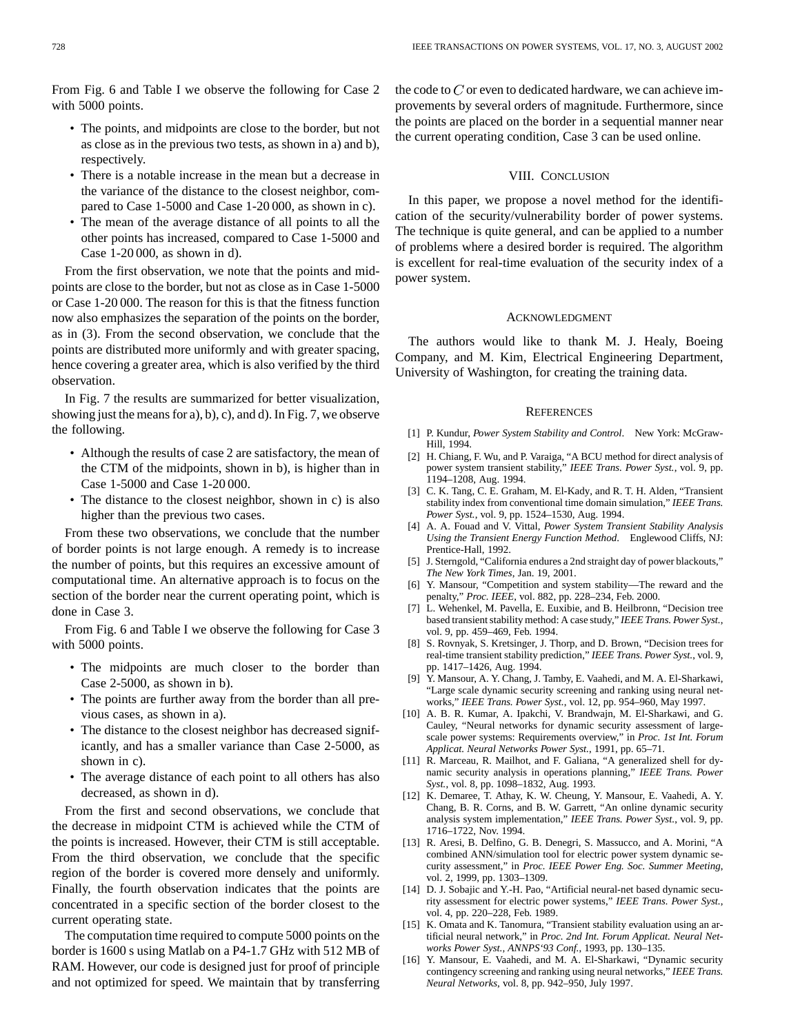From Fig. 6 and Table I we observe the following for Case 2 with 5000 points.

- The points, and midpoints are close to the border, but not as close as in the previous two tests, as shown in a) and b), respectively.
- There is a notable increase in the mean but a decrease in the variance of the distance to the closest neighbor, compared to Case 1-5000 and Case 1-20 000, as shown in c).
- The mean of the average distance of all points to all the other points has increased, compared to Case 1-5000 and Case 1-20 000, as shown in d).

From the first observation, we note that the points and midpoints are close to the border, but not as close as in Case 1-5000 or Case 1-20 000. The reason for this is that the fitness function now also emphasizes the separation of the points on the border, as in (3). From the second observation, we conclude that the points are distributed more uniformly and with greater spacing, hence covering a greater area, which is also verified by the third observation.

In Fig. 7 the results are summarized for better visualization, showing just the means for a), b), c), and d). In Fig. 7, we observe the following.

- Although the results of case 2 are satisfactory, the mean of the CTM of the midpoints, shown in b), is higher than in Case 1-5000 and Case 1-20 000.
- The distance to the closest neighbor, shown in c) is also higher than the previous two cases.

From these two observations, we conclude that the number of border points is not large enough. A remedy is to increase the number of points, but this requires an excessive amount of computational time. An alternative approach is to focus on the section of the border near the current operating point, which is done in Case 3.

From Fig. 6 and Table I we observe the following for Case 3 with 5000 points.

- The midpoints are much closer to the border than Case 2-5000, as shown in b).
- The points are further away from the border than all previous cases, as shown in a).
- The distance to the closest neighbor has decreased significantly, and has a smaller variance than Case 2-5000, as shown in c).
- The average distance of each point to all others has also decreased, as shown in d).

From the first and second observations, we conclude that the decrease in midpoint CTM is achieved while the CTM of the points is increased. However, their CTM is still acceptable. From the third observation, we conclude that the specific region of the border is covered more densely and uniformly. Finally, the fourth observation indicates that the points are concentrated in a specific section of the border closest to the current operating state.

The computation time required to compute 5000 points on the border is 1600 s using Matlab on a P4-1.7 GHz with 512 MB of RAM. However, our code is designed just for proof of principle and not optimized for speed. We maintain that by transferring

the code to  $C$  or even to dedicated hardware, we can achieve improvements by several orders of magnitude. Furthermore, since the points are placed on the border in a sequential manner near the current operating condition, Case 3 can be used online.

# VIII. CONCLUSION

In this paper, we propose a novel method for the identification of the security/vulnerability border of power systems. The technique is quite general, and can be applied to a number of problems where a desired border is required. The algorithm is excellent for real-time evaluation of the security index of a power system.

### ACKNOWLEDGMENT

The authors would like to thank M. J. Healy, Boeing Company, and M. Kim, Electrical Engineering Department, University of Washington, for creating the training data.

### **REFERENCES**

- [1] P. Kundur, *Power System Stability and Control*. New York: McGraw-Hill, 1994.
- [2] H. Chiang, F. Wu, and P. Varaiga, "A BCU method for direct analysis of power system transient stability," *IEEE Trans. Power Syst.*, vol. 9, pp. 1194–1208, Aug. 1994.
- [3] C. K. Tang, C. E. Graham, M. El-Kady, and R. T. H. Alden, "Transient stability index from conventional time domain simulation," *IEEE Trans. Power Syst.*, vol. 9, pp. 1524–1530, Aug. 1994.
- [4] A. A. Fouad and V. Vittal, *Power System Transient Stability Analysis Using the Transient Energy Function Method*. Englewood Cliffs, NJ: Prentice-Hall, 1992.
- [5] J. Sterngold, "California endures a 2nd straight day of power blackouts," *The New York Times*, Jan. 19, 2001.
- [6] Y. Mansour, "Competition and system stability—The reward and the penalty," *Proc. IEEE*, vol. 882, pp. 228–234, Feb. 2000.
- [7] L. Wehenkel, M. Pavella, E. Euxibie, and B. Heilbronn, "Decision tree based transient stability method: A case study," *IEEE Trans. Power Syst.*, vol. 9, pp. 459–469, Feb. 1994.
- [8] S. Rovnyak, S. Kretsinger, J. Thorp, and D. Brown, "Decision trees for real-time transient stability prediction," *IEEE Trans. Power Syst.*, vol. 9, pp. 1417–1426, Aug. 1994.
- [9] Y. Mansour, A. Y. Chang, J. Tamby, E. Vaahedi, and M. A. El-Sharkawi, "Large scale dynamic security screening and ranking using neural networks," *IEEE Trans. Power Syst.*, vol. 12, pp. 954–960, May 1997.
- [10] A. B. R. Kumar, A. Ipakchi, V. Brandwajn, M. El-Sharkawi, and G. Cauley, "Neural networks for dynamic security assessment of largescale power systems: Requirements overview," in *Proc. 1st Int. Forum Applicat. Neural Networks Power Syst.*, 1991, pp. 65–71.
- [11] R. Marceau, R. Mailhot, and F. Galiana, "A generalized shell for dynamic security analysis in operations planning," *IEEE Trans. Power Syst.*, vol. 8, pp. 1098–1832, Aug. 1993.
- [12] K. Demaree, T. Athay, K. W. Cheung, Y. Mansour, E. Vaahedi, A. Y. Chang, B. R. Corns, and B. W. Garrett, "An online dynamic security analysis system implementation," *IEEE Trans. Power Syst.*, vol. 9, pp. 1716–1722, Nov. 1994.
- [13] R. Aresi, B. Delfino, G. B. Denegri, S. Massucco, and A. Morini, "A combined ANN/simulation tool for electric power system dynamic security assessment," in *Proc. IEEE Power Eng. Soc. Summer Meeting*, vol. 2, 1999, pp. 1303–1309.
- [14] D. J. Sobajic and Y.-H. Pao, "Artificial neural-net based dynamic security assessment for electric power systems," *IEEE Trans. Power Syst.*, vol. 4, pp. 220–228, Feb. 1989.
- [15] K. Omata and K. Tanomura, "Transient stability evaluation using an artificial neural network," in *Proc. 2nd Int. Forum Applicat. Neural Networks Power Syst., ANNPS'93 Conf.*, 1993, pp. 130–135.
- [16] Y. Mansour, E. Vaahedi, and M. A. El-Sharkawi, "Dynamic security contingency screening and ranking using neural networks," *IEEE Trans. Neural Networks*, vol. 8, pp. 942–950, July 1997.